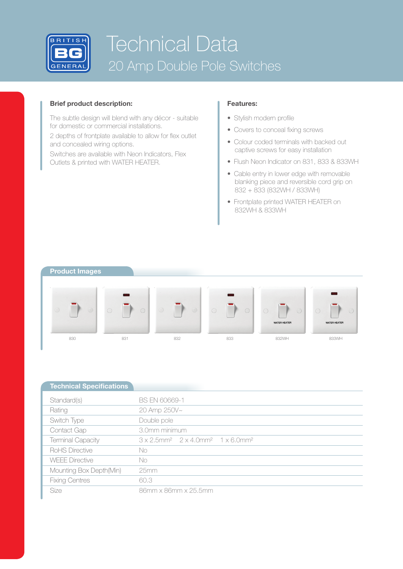

# Technical Data 20 Amp Double Pole Switches

### **Brief product description:**

The subtle design will blend with any décor - suitable for domestic or commercial installations.

2 depths of frontplate available to allow for flex outlet and concealed wiring options.

Switches are available with Neon Indicators, Flex Outlets & printed with WATER HEATER.

## **Features:**

- Stylish modern profile
- Covers to conceal fixing screws
- Colour coded terminals with backed out captive screws for easy installation
- Flush Neon Indicator on 831, 833 & 833WH
- Cable entry in lower edge with removable blanking piece and reversible cord grip on 832 + 833 (832WH / 833WH)
- Frontplate printed WATER HEATER on 832WH & 833WH

### **Product Images**



| <b>Technical Specifications</b> |                                                                                              |  |  |  |  |
|---------------------------------|----------------------------------------------------------------------------------------------|--|--|--|--|
| Standard(s)                     | <b>BS EN 60669-1</b>                                                                         |  |  |  |  |
| Rating                          | 20 Amp 250V~                                                                                 |  |  |  |  |
| Switch Type                     | Double pole                                                                                  |  |  |  |  |
| Contact Gap                     | 3.0mm minimum                                                                                |  |  |  |  |
| <b>Terminal Capacity</b>        | $3 \times 2.5$ mm <sup>2</sup> $2 \times 4.0$ mm <sup>2</sup> $1 \times 6.0$ mm <sup>2</sup> |  |  |  |  |
| RoHS Directive                  | No.                                                                                          |  |  |  |  |
| <b>WEFE Directive</b>           | No                                                                                           |  |  |  |  |
| Mounting Box Depth(Min)         | 25mm                                                                                         |  |  |  |  |
| <b>Fixing Centres</b>           | 60.3                                                                                         |  |  |  |  |
| <b>Size</b>                     | 86mm x 86mm x 25.5mm                                                                         |  |  |  |  |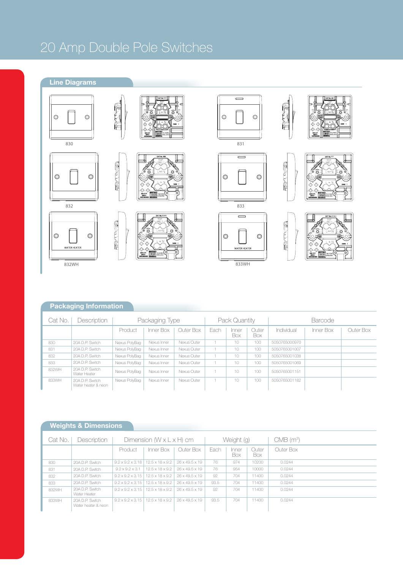## 20 Amp Double Pole Switches

**FOLSTER** 

## **Line Diagrams**









830









833WH



messim

**FRANCE** 

**REALLY** 





## **Packaging Information**

| Cat No. | Description                            | Packaging Type |             |             | Pack Quantity |              |              | <b>Barcode</b> |           |           |
|---------|----------------------------------------|----------------|-------------|-------------|---------------|--------------|--------------|----------------|-----------|-----------|
|         |                                        | Product        | Inner Box   | Outer Box I | Each          | Inner<br>Box | Outer<br>Box | Individual     | Inner Box | Outer Box |
| 830     | 20A D.P. Switch                        | Nexus PolyBag  | Nexus Inner | Nexus Outer |               | 10           | 100          | 5050765000970  |           |           |
| 831     | 20A D.P. Switch                        | Nexus PolyBag  | Nexus Inner | Nexus Outer |               | 10           | 100          | 5050765001007  |           |           |
| 832     | 20A D.P. Switch                        | Nexus PolyBag  | Nexus Inner | Nexus Outer |               | 10           | 100          | 5050765001038  |           |           |
| 833     | 20A D.P. Switch                        | Nexus PolyBag  | Nexus Inner | Nexus Outer |               | 10           | 100          | 5050765001069  |           |           |
| 832WH   | 20A D.P. Switch<br>Water Heater        | Nexus PolyBag  | Nexus Inner | Nexus Outer |               | 10           | 100          | 5050765001151  |           |           |
| 833WH   | 20A D.P. Switch<br>Water heater & neon | Nexus PolvBag  | Nexus Inner | Nexus Outer |               | 10           | 100          | 5050765001182  |           |           |

## **Weights & Dimensions**

| Cat No. | Description                            | Dimension $(W \times L \times H)$ cm |                                                |                | Weight (g) |             |              | $CMB$ (m <sup>3</sup> ) |
|---------|----------------------------------------|--------------------------------------|------------------------------------------------|----------------|------------|-------------|--------------|-------------------------|
|         |                                        | Product                              | Inner Box                                      | Outer Box      | Fach       | nner<br>Box | Outer<br>Box | Outer Box               |
| 830     | 20A D.P. Switch                        | $9.2 \times 9.2 \times 3.18$         | $12.5 \times 18 \times 9.2$                    | 26 x 49.5 x 19 | 76         | 974         | 10200        | 0.0244                  |
| 831     | 20A D.P. Switch                        | $9.2 \times 9.2 \times 3.1$          | $12.5 \times 18 \times 9.2$                    | 26 x 49.5 x 19 | 76         | 954         | 10000        | 0.0244                  |
| 832     | 20A D.P. Switch                        | $9.2 \times 9.2 \times 3.15$         | $12.5 \times 18 \times 9.2$                    | 26 x 49.5 x 19 | 92         | 704         | 11400        | 0.0244                  |
| 833     | 20A D.P. Switch                        |                                      | $9.2 \times 9.2 \times 3.15$   12.5 x 18 x 9.2 | 26 x 49.5 x 19 | 93.5       | 704         | 11400        | 0.0244                  |
| 832WH   | 20A D.P. Switch<br>Water Heater        | $9.2 \times 9.2 \times 3.15$         | $12.5 \times 18 \times 9.2$                    | 26 x 49.5 x 19 | 92         | 704         | 11400        | 0.0244                  |
| 833WH   | 20A D.P. Switch<br>Water heater & neon | $9.2 \times 9.2 \times 3.15$         | $12.5 \times 18 \times 9.2$                    | 26 x 49.5 x 19 | 93.5       | 704         | 11400        | 0.0244                  |